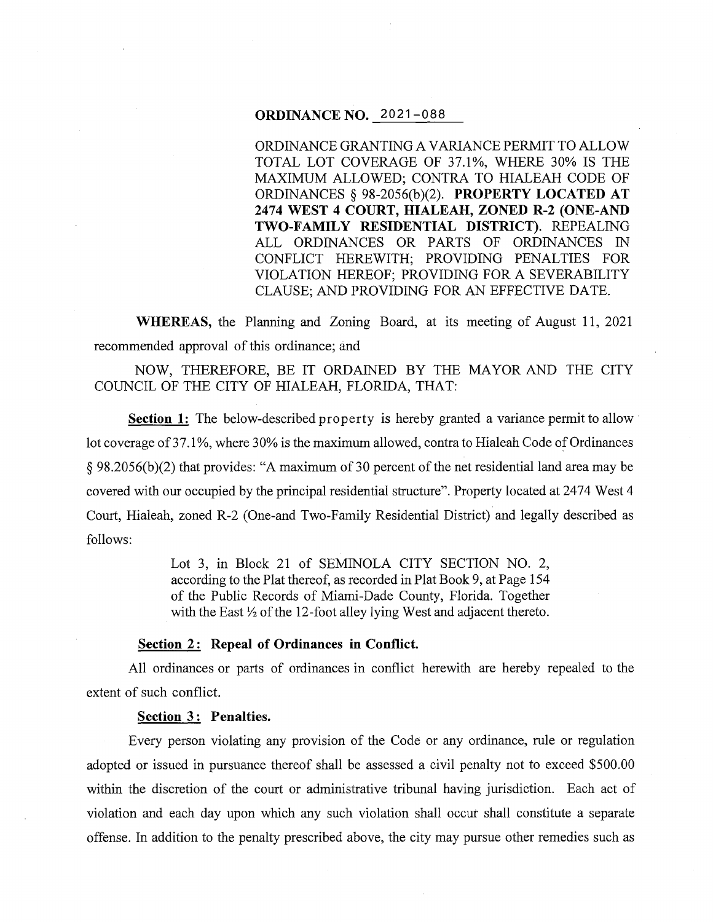### **ORDINANCE NO.** 2021-088

ORDINANCE GRANTING A VARIANCE PERMIT TO ALLOW TOTAL LOT COVERAGE OF 37.1%, WHERE 30% IS THE MAXIMUM ALLOWED; CONTRA TO HIALEAH CODE OF ORDINANCES§ 98-2056(b)(2). **PROPERTY LOCATED AT 2474 WEST 4 COURT, HIALEAH, ZONED R-2 (ONE-AND TWO-FAMILY RESIDENTIAL DISTRICT).** REPEALING ALL ORDINANCES OR PARTS OF ORDINANCES IN CONFLICT HEREWITH; PROVIDING PENALTIES FOR VIOLATION HEREOF; PROVIDING FOR A SEVERABILITY CLAUSE; AND PROVIDING FOR AN EFFECTIVE DATE.

**WHEREAS,** the Planning and Zoning Board, at its meeting of August 11, 2021 recommended approval of this ordinance; and

NOW, THEREFORE, BE IT ORDAINED BY THE MAYOR AND THE CITY COUNCIL OF THE CITY OF HIALEAH, FLORIDA, THAT:

**Section 1:** The below-described property is hereby granted a variance permit to allow lot coverage of 37.1%, where 30% is the maximum allowed, contra to Hialeah Code of Ordinances § 98.2056(b)(2) that provides: "A maximum of 30 percent of the net residential land area may be covered with our occupied by the principal residential structure". Property located at 2474 West 4 Court, Hialeah, zoned R-2 (One-and Two-Family Residential District) and legally described as follows:

> Lot 3, in Block 21 of SEMINOLA CITY SECTION NO. 2, according to the Plat thereof, as recorded in Plat Book 9, at Page 154 of the Public Records of Miami-Dade County, Florida. Together with the East  $\frac{1}{2}$  of the 12-foot alley lying West and adjacent thereto.

### **Section 2: Repeal of Ordinances in Conflict.**

All ordinances or parts of ordinances in conflict herewith are hereby repealed to the extent of such conflict.

### **Section 3: Penalties.**

Every person violating any provision of the Code or any ordinance, rule or regulation adopted or issued in pursuance thereof shall be assessed a civil penalty not to exceed \$500.00 within the discretion of the court or administrative tribunal having jurisdiction. Each act of violation and each day upon which any such violation shall occur shall constitute a separate offense. In addition to the penalty prescribed above, the city may pursue other remedies such as